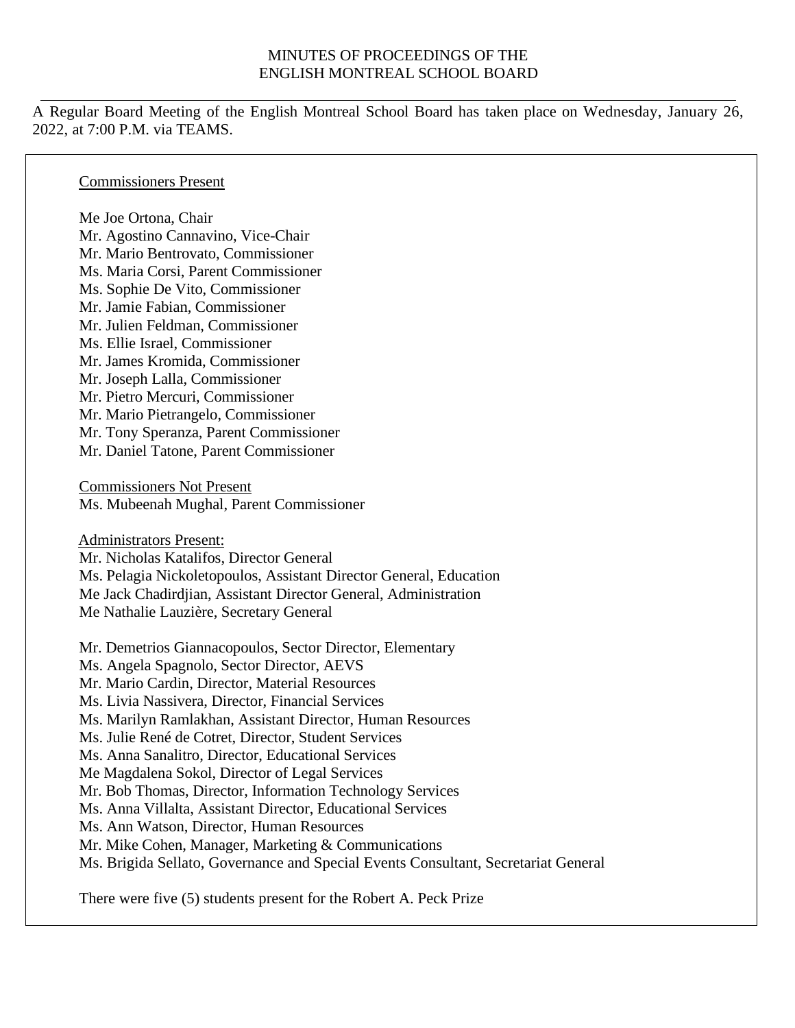#### MINUTES OF PROCEEDINGS OF THE ENGLISH MONTREAL SCHOOL BOARD

A Regular Board Meeting of the English Montreal School Board has taken place on Wednesday, January 26, 2022, at 7:00 P.M. via TEAMS.

Commissioners Present

Me Joe Ortona, Chair Mr. Agostino Cannavino, Vice-Chair Mr. Mario Bentrovato, Commissioner Ms. Maria Corsi, Parent Commissioner Ms. Sophie De Vito, Commissioner Mr. Jamie Fabian, Commissioner Mr. Julien Feldman, Commissioner Ms. Ellie Israel, Commissioner Mr. James Kromida, Commissioner Mr. Joseph Lalla, Commissioner Mr. Pietro Mercuri, Commissioner Mr. Mario Pietrangelo, Commissioner Mr. Tony Speranza, Parent Commissioner Mr. Daniel Tatone, Parent Commissioner

Commissioners Not Present Ms. Mubeenah Mughal, Parent Commissioner

Administrators Present:

Mr. Nicholas Katalifos, Director General Ms. Pelagia Nickoletopoulos, Assistant Director General, Education Me Jack Chadirdjian, Assistant Director General, Administration Me Nathalie Lauzière, Secretary General

Mr. Demetrios Giannacopoulos, Sector Director, Elementary Ms. Angela Spagnolo, Sector Director, AEVS Mr. Mario Cardin, Director, Material Resources Ms. Livia Nassivera, Director, Financial Services Ms. Marilyn Ramlakhan, Assistant Director, Human Resources Ms. Julie René de Cotret, Director, Student Services Ms. Anna Sanalitro, Director, Educational Services Me Magdalena Sokol, Director of Legal Services Mr. Bob Thomas, Director, Information Technology Services Ms. Anna Villalta, Assistant Director, Educational Services Ms. Ann Watson, Director, Human Resources Mr. Mike Cohen, Manager, Marketing & Communications Ms. Brigida Sellato, Governance and Special Events Consultant, Secretariat General

There were five (5) students present for the Robert A. Peck Prize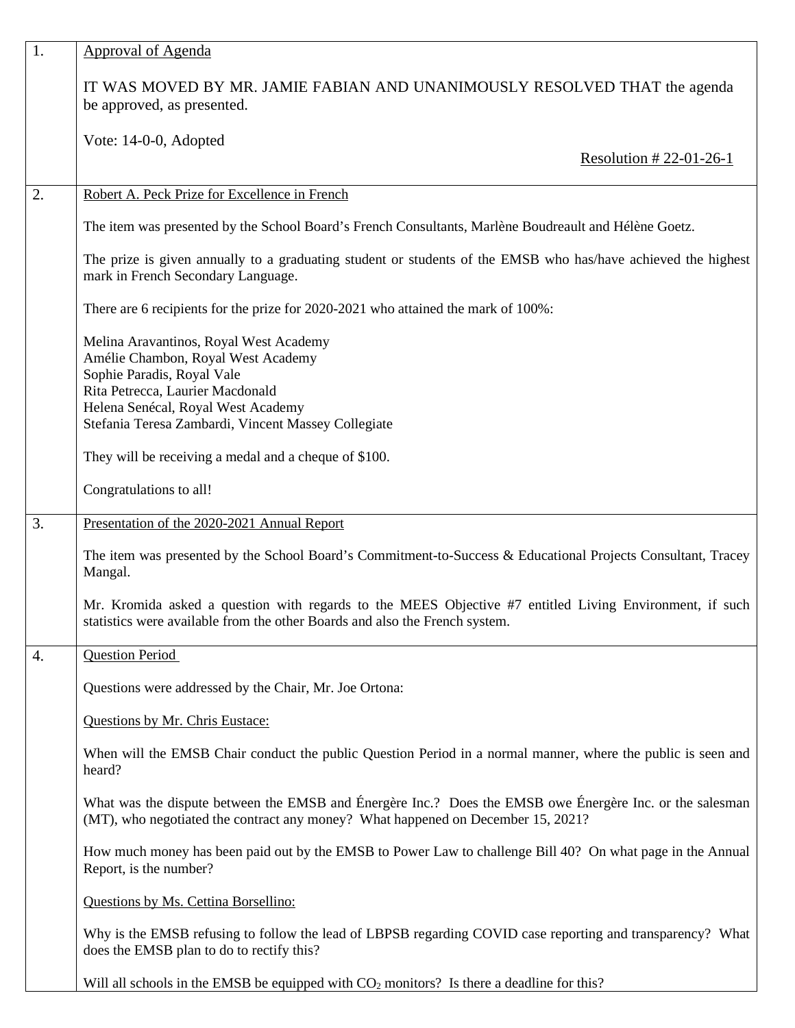| 1.                                                                                                                                                  | <b>Approval of Agenda</b>                                                                                                                                                                    |  |  |
|-----------------------------------------------------------------------------------------------------------------------------------------------------|----------------------------------------------------------------------------------------------------------------------------------------------------------------------------------------------|--|--|
|                                                                                                                                                     | IT WAS MOVED BY MR. JAMIE FABIAN AND UNANIMOUSLY RESOLVED THAT the agenda<br>be approved, as presented.                                                                                      |  |  |
|                                                                                                                                                     | Vote: 14-0-0, Adopted<br>Resolution #22-01-26-1                                                                                                                                              |  |  |
|                                                                                                                                                     |                                                                                                                                                                                              |  |  |
| 2.                                                                                                                                                  | Robert A. Peck Prize for Excellence in French                                                                                                                                                |  |  |
| The item was presented by the School Board's French Consultants, Marlène Boudreault and Hélène Goetz.                                               |                                                                                                                                                                                              |  |  |
| The prize is given annually to a graduating student or students of the EMSB who has/have achieved the highest<br>mark in French Secondary Language. |                                                                                                                                                                                              |  |  |
|                                                                                                                                                     | There are 6 recipients for the prize for 2020-2021 who attained the mark of 100%:                                                                                                            |  |  |
|                                                                                                                                                     | Melina Aravantinos, Royal West Academy<br>Amélie Chambon, Royal West Academy                                                                                                                 |  |  |
|                                                                                                                                                     | Sophie Paradis, Royal Vale                                                                                                                                                                   |  |  |
|                                                                                                                                                     | Rita Petrecca, Laurier Macdonald                                                                                                                                                             |  |  |
| Helena Senécal, Royal West Academy<br>Stefania Teresa Zambardi, Vincent Massey Collegiate                                                           |                                                                                                                                                                                              |  |  |
|                                                                                                                                                     | They will be receiving a medal and a cheque of \$100.                                                                                                                                        |  |  |
|                                                                                                                                                     | Congratulations to all!                                                                                                                                                                      |  |  |
| 3.                                                                                                                                                  | Presentation of the 2020-2021 Annual Report                                                                                                                                                  |  |  |
|                                                                                                                                                     | The item was presented by the School Board's Commitment-to-Success & Educational Projects Consultant, Tracey<br>Mangal.                                                                      |  |  |
|                                                                                                                                                     | Mr. Kromida asked a question with regards to the MEES Objective #7 entitled Living Environment, if such<br>statistics were available from the other Boards and also the French system.       |  |  |
| 4.                                                                                                                                                  | <b>Question Period</b>                                                                                                                                                                       |  |  |
|                                                                                                                                                     | Questions were addressed by the Chair, Mr. Joe Ortona:                                                                                                                                       |  |  |
| Questions by Mr. Chris Eustace:                                                                                                                     |                                                                                                                                                                                              |  |  |
|                                                                                                                                                     | When will the EMSB Chair conduct the public Question Period in a normal manner, where the public is seen and<br>heard?                                                                       |  |  |
|                                                                                                                                                     | What was the dispute between the EMSB and Énergère Inc.? Does the EMSB owe Énergère Inc. or the salesman<br>(MT), who negotiated the contract any money? What happened on December 15, 2021? |  |  |
|                                                                                                                                                     | How much money has been paid out by the EMSB to Power Law to challenge Bill 40? On what page in the Annual<br>Report, is the number?                                                         |  |  |
|                                                                                                                                                     | Questions by Ms. Cettina Borsellino:                                                                                                                                                         |  |  |
|                                                                                                                                                     | Why is the EMSB refusing to follow the lead of LBPSB regarding COVID case reporting and transparency? What<br>does the EMSB plan to do to rectify this?                                      |  |  |
|                                                                                                                                                     | Will all schools in the EMSB be equipped with $CO2$ monitors? Is there a deadline for this?                                                                                                  |  |  |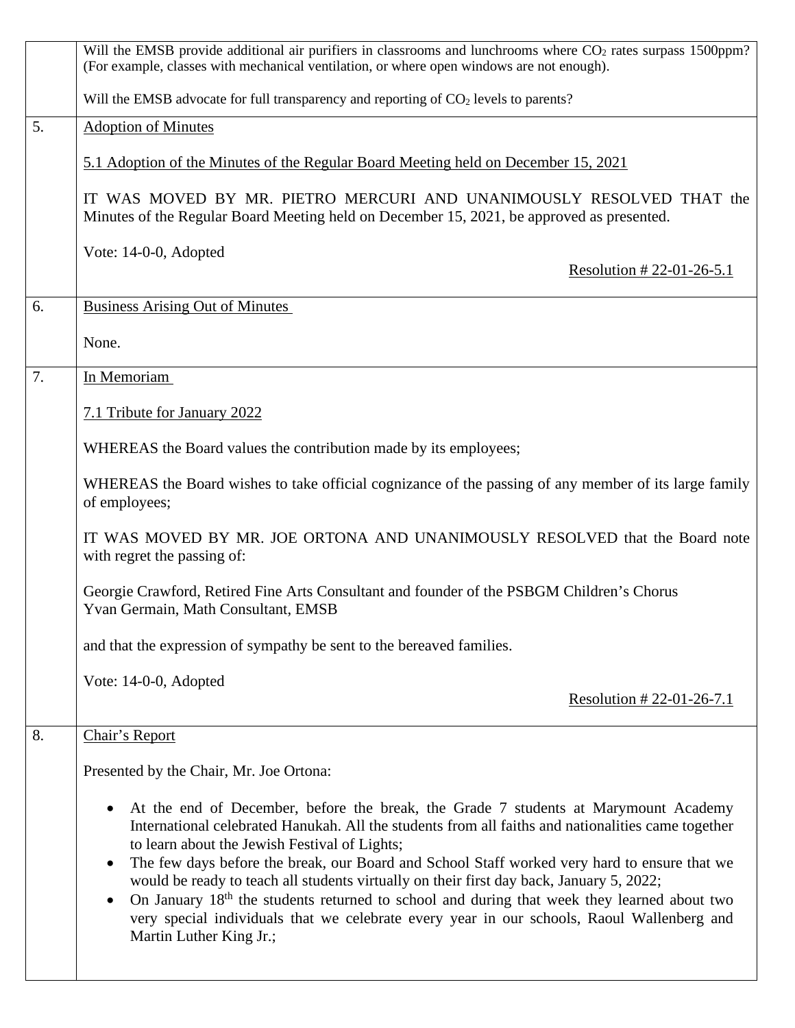|                                                                                    | Will the EMSB provide additional air purifiers in classrooms and lunchrooms where CO <sub>2</sub> rates surpass 1500ppm?<br>(For example, classes with mechanical ventilation, or where open windows are not enough).                                                                                                                                                                                                                                                                                                                                                                                                                                                      |  |  |  |
|------------------------------------------------------------------------------------|----------------------------------------------------------------------------------------------------------------------------------------------------------------------------------------------------------------------------------------------------------------------------------------------------------------------------------------------------------------------------------------------------------------------------------------------------------------------------------------------------------------------------------------------------------------------------------------------------------------------------------------------------------------------------|--|--|--|
|                                                                                    | Will the EMSB advocate for full transparency and reporting of CO <sub>2</sub> levels to parents?                                                                                                                                                                                                                                                                                                                                                                                                                                                                                                                                                                           |  |  |  |
| 5.                                                                                 | <b>Adoption of Minutes</b>                                                                                                                                                                                                                                                                                                                                                                                                                                                                                                                                                                                                                                                 |  |  |  |
| 5.1 Adoption of the Minutes of the Regular Board Meeting held on December 15, 2021 |                                                                                                                                                                                                                                                                                                                                                                                                                                                                                                                                                                                                                                                                            |  |  |  |
|                                                                                    | IT WAS MOVED BY MR. PIETRO MERCURI AND UNANIMOUSLY RESOLVED THAT the<br>Minutes of the Regular Board Meeting held on December 15, 2021, be approved as presented.                                                                                                                                                                                                                                                                                                                                                                                                                                                                                                          |  |  |  |
|                                                                                    | Vote: 14-0-0, Adopted<br>Resolution # 22-01-26-5.1                                                                                                                                                                                                                                                                                                                                                                                                                                                                                                                                                                                                                         |  |  |  |
| 6.                                                                                 | <b>Business Arising Out of Minutes</b>                                                                                                                                                                                                                                                                                                                                                                                                                                                                                                                                                                                                                                     |  |  |  |
|                                                                                    | None.                                                                                                                                                                                                                                                                                                                                                                                                                                                                                                                                                                                                                                                                      |  |  |  |
| In Memoriam<br>7.                                                                  |                                                                                                                                                                                                                                                                                                                                                                                                                                                                                                                                                                                                                                                                            |  |  |  |
|                                                                                    | 7.1 Tribute for January 2022                                                                                                                                                                                                                                                                                                                                                                                                                                                                                                                                                                                                                                               |  |  |  |
| WHEREAS the Board values the contribution made by its employees;                   |                                                                                                                                                                                                                                                                                                                                                                                                                                                                                                                                                                                                                                                                            |  |  |  |
|                                                                                    | WHEREAS the Board wishes to take official cognizance of the passing of any member of its large family<br>of employees;                                                                                                                                                                                                                                                                                                                                                                                                                                                                                                                                                     |  |  |  |
|                                                                                    | IT WAS MOVED BY MR. JOE ORTONA AND UNANIMOUSLY RESOLVED that the Board note<br>with regret the passing of:                                                                                                                                                                                                                                                                                                                                                                                                                                                                                                                                                                 |  |  |  |
|                                                                                    | Georgie Crawford, Retired Fine Arts Consultant and founder of the PSBGM Children's Chorus<br>Yvan Germain, Math Consultant, EMSB                                                                                                                                                                                                                                                                                                                                                                                                                                                                                                                                           |  |  |  |
|                                                                                    | and that the expression of sympathy be sent to the bereaved families.                                                                                                                                                                                                                                                                                                                                                                                                                                                                                                                                                                                                      |  |  |  |
|                                                                                    | Vote: 14-0-0, Adopted                                                                                                                                                                                                                                                                                                                                                                                                                                                                                                                                                                                                                                                      |  |  |  |
|                                                                                    | Resolution #22-01-26-7.1                                                                                                                                                                                                                                                                                                                                                                                                                                                                                                                                                                                                                                                   |  |  |  |
| 8.                                                                                 | Chair's Report                                                                                                                                                                                                                                                                                                                                                                                                                                                                                                                                                                                                                                                             |  |  |  |
|                                                                                    | Presented by the Chair, Mr. Joe Ortona:                                                                                                                                                                                                                                                                                                                                                                                                                                                                                                                                                                                                                                    |  |  |  |
|                                                                                    | At the end of December, before the break, the Grade 7 students at Marymount Academy<br>International celebrated Hanukah. All the students from all faiths and nationalities came together<br>to learn about the Jewish Festival of Lights;<br>The few days before the break, our Board and School Staff worked very hard to ensure that we<br>would be ready to teach all students virtually on their first day back, January 5, 2022;<br>On January 18 <sup>th</sup> the students returned to school and during that week they learned about two<br>very special individuals that we celebrate every year in our schools, Raoul Wallenberg and<br>Martin Luther King Jr.; |  |  |  |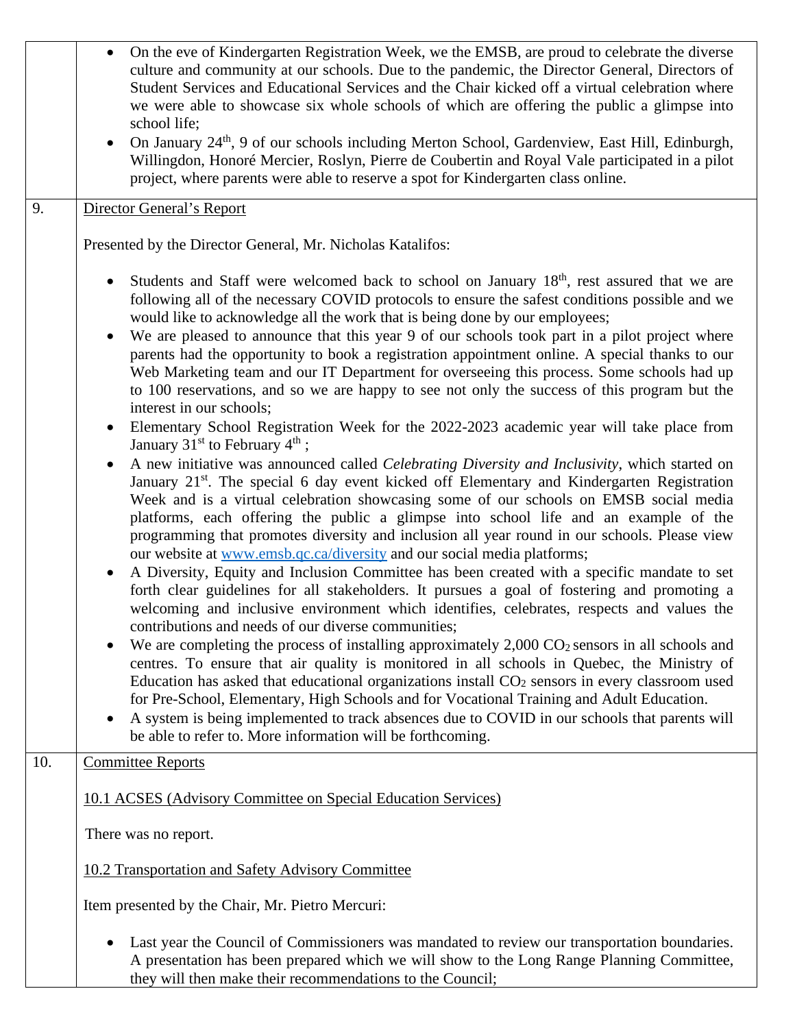|     | On the eve of Kindergarten Registration Week, we the EMSB, are proud to celebrate the diverse<br>culture and community at our schools. Due to the pandemic, the Director General, Directors of<br>Student Services and Educational Services and the Chair kicked off a virtual celebration where<br>we were able to showcase six whole schools of which are offering the public a glimpse into<br>school life;<br>On January 24 <sup>th</sup> , 9 of our schools including Merton School, Gardenview, East Hill, Edinburgh,                                                                    |  |
|-----|------------------------------------------------------------------------------------------------------------------------------------------------------------------------------------------------------------------------------------------------------------------------------------------------------------------------------------------------------------------------------------------------------------------------------------------------------------------------------------------------------------------------------------------------------------------------------------------------|--|
|     | Willingdon, Honoré Mercier, Roslyn, Pierre de Coubertin and Royal Vale participated in a pilot<br>project, where parents were able to reserve a spot for Kindergarten class online.                                                                                                                                                                                                                                                                                                                                                                                                            |  |
| 9.  | Director General's Report                                                                                                                                                                                                                                                                                                                                                                                                                                                                                                                                                                      |  |
|     | Presented by the Director General, Mr. Nicholas Katalifos:                                                                                                                                                                                                                                                                                                                                                                                                                                                                                                                                     |  |
|     | Students and Staff were welcomed back to school on January 18 <sup>th</sup> , rest assured that we are<br>$\bullet$<br>following all of the necessary COVID protocols to ensure the safest conditions possible and we<br>would like to acknowledge all the work that is being done by our employees;                                                                                                                                                                                                                                                                                           |  |
|     | We are pleased to announce that this year 9 of our schools took part in a pilot project where<br>$\bullet$<br>parents had the opportunity to book a registration appointment online. A special thanks to our<br>Web Marketing team and our IT Department for overseeing this process. Some schools had up<br>to 100 reservations, and so we are happy to see not only the success of this program but the<br>interest in our schools;                                                                                                                                                          |  |
|     | Elementary School Registration Week for the 2022-2023 academic year will take place from<br>January $31st$ to February $4th$ ;                                                                                                                                                                                                                                                                                                                                                                                                                                                                 |  |
|     | A new initiative was announced called Celebrating Diversity and Inclusivity, which started on<br>January 21 <sup>st</sup> . The special 6 day event kicked off Elementary and Kindergarten Registration<br>Week and is a virtual celebration showcasing some of our schools on EMSB social media<br>platforms, each offering the public a glimpse into school life and an example of the<br>programming that promotes diversity and inclusion all year round in our schools. Please view<br>our website at www.emsb.qc.ca/diversity and our social media platforms;                            |  |
|     | A Diversity, Equity and Inclusion Committee has been created with a specific mandate to set<br>forth clear guidelines for all stakeholders. It pursues a goal of fostering and promoting a<br>welcoming and inclusive environment which identifies, celebrates, respects and values the<br>contributions and needs of our diverse communities;                                                                                                                                                                                                                                                 |  |
|     | We are completing the process of installing approximately $2,000 \text{ CO}_2$ sensors in all schools and<br>centres. To ensure that air quality is monitored in all schools in Quebec, the Ministry of<br>Education has asked that educational organizations install CO <sub>2</sub> sensors in every classroom used<br>for Pre-School, Elementary, High Schools and for Vocational Training and Adult Education.<br>A system is being implemented to track absences due to COVID in our schools that parents will<br>$\bullet$<br>be able to refer to. More information will be forthcoming. |  |
| 10. | <b>Committee Reports</b>                                                                                                                                                                                                                                                                                                                                                                                                                                                                                                                                                                       |  |
|     | 10.1 ACSES (Advisory Committee on Special Education Services)                                                                                                                                                                                                                                                                                                                                                                                                                                                                                                                                  |  |
|     | There was no report.                                                                                                                                                                                                                                                                                                                                                                                                                                                                                                                                                                           |  |
|     | 10.2 Transportation and Safety Advisory Committee                                                                                                                                                                                                                                                                                                                                                                                                                                                                                                                                              |  |
|     | Item presented by the Chair, Mr. Pietro Mercuri:                                                                                                                                                                                                                                                                                                                                                                                                                                                                                                                                               |  |
|     | Last year the Council of Commissioners was mandated to review our transportation boundaries.<br>A presentation has been prepared which we will show to the Long Range Planning Committee,<br>they will then make their recommendations to the Council;                                                                                                                                                                                                                                                                                                                                         |  |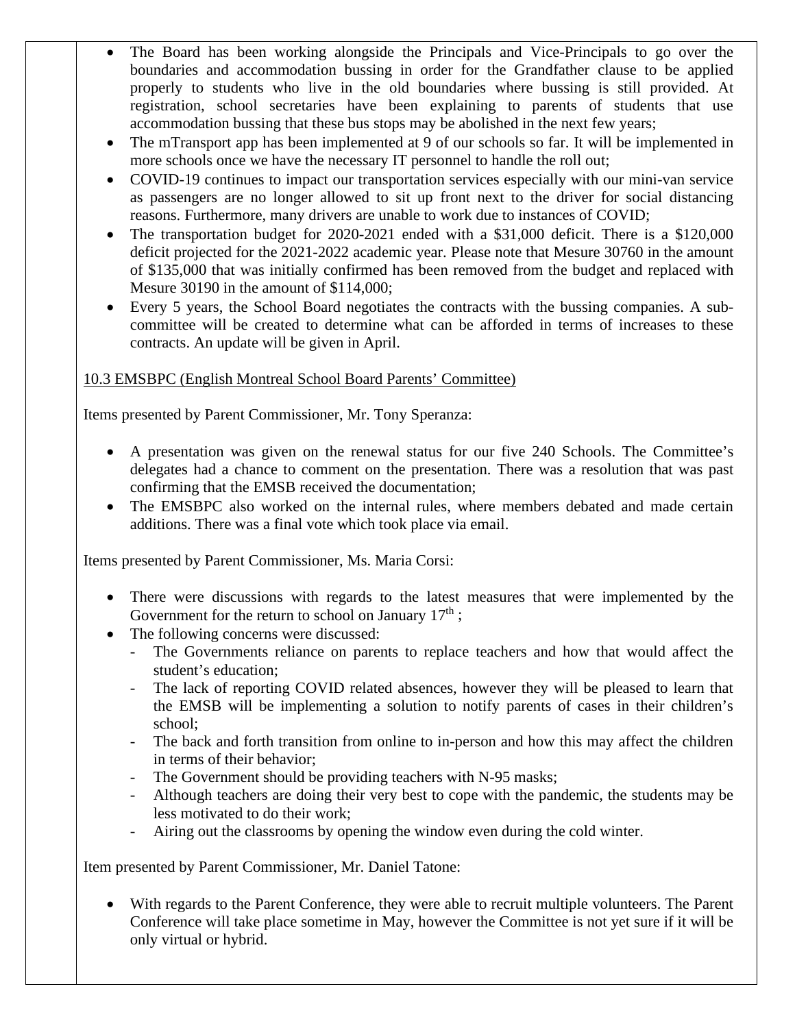- The Board has been working alongside the Principals and Vice-Principals to go over the boundaries and accommodation bussing in order for the Grandfather clause to be applied properly to students who live in the old boundaries where bussing is still provided. At registration, school secretaries have been explaining to parents of students that use accommodation bussing that these bus stops may be abolished in the next few years;
- The mTransport app has been implemented at 9 of our schools so far. It will be implemented in more schools once we have the necessary IT personnel to handle the roll out;
- COVID-19 continues to impact our transportation services especially with our mini-van service as passengers are no longer allowed to sit up front next to the driver for social distancing reasons. Furthermore, many drivers are unable to work due to instances of COVID;
- The transportation budget for 2020-2021 ended with a \$31,000 deficit. There is a \$120,000 deficit projected for the 2021-2022 academic year. Please note that Mesure 30760 in the amount of \$135,000 that was initially confirmed has been removed from the budget and replaced with Mesure 30190 in the amount of \$114,000;
- Every 5 years, the School Board negotiates the contracts with the bussing companies. A subcommittee will be created to determine what can be afforded in terms of increases to these contracts. An update will be given in April.

# 10.3 EMSBPC (English Montreal School Board Parents' Committee)

Items presented by Parent Commissioner, Mr. Tony Speranza:

- A presentation was given on the renewal status for our five 240 Schools. The Committee's delegates had a chance to comment on the presentation. There was a resolution that was past confirming that the EMSB received the documentation;
- The EMSBPC also worked on the internal rules, where members debated and made certain additions. There was a final vote which took place via email.

Items presented by Parent Commissioner, Ms. Maria Corsi:

- There were discussions with regards to the latest measures that were implemented by the Government for the return to school on January  $17<sup>th</sup>$ ;
- The following concerns were discussed:
	- The Governments reliance on parents to replace teachers and how that would affect the student's education;
	- The lack of reporting COVID related absences, however they will be pleased to learn that the EMSB will be implementing a solution to notify parents of cases in their children's school;
	- The back and forth transition from online to in-person and how this may affect the children in terms of their behavior;
	- The Government should be providing teachers with N-95 masks;
	- Although teachers are doing their very best to cope with the pandemic, the students may be less motivated to do their work;
	- Airing out the classrooms by opening the window even during the cold winter.

Item presented by Parent Commissioner, Mr. Daniel Tatone:

• With regards to the Parent Conference, they were able to recruit multiple volunteers. The Parent Conference will take place sometime in May, however the Committee is not yet sure if it will be only virtual or hybrid.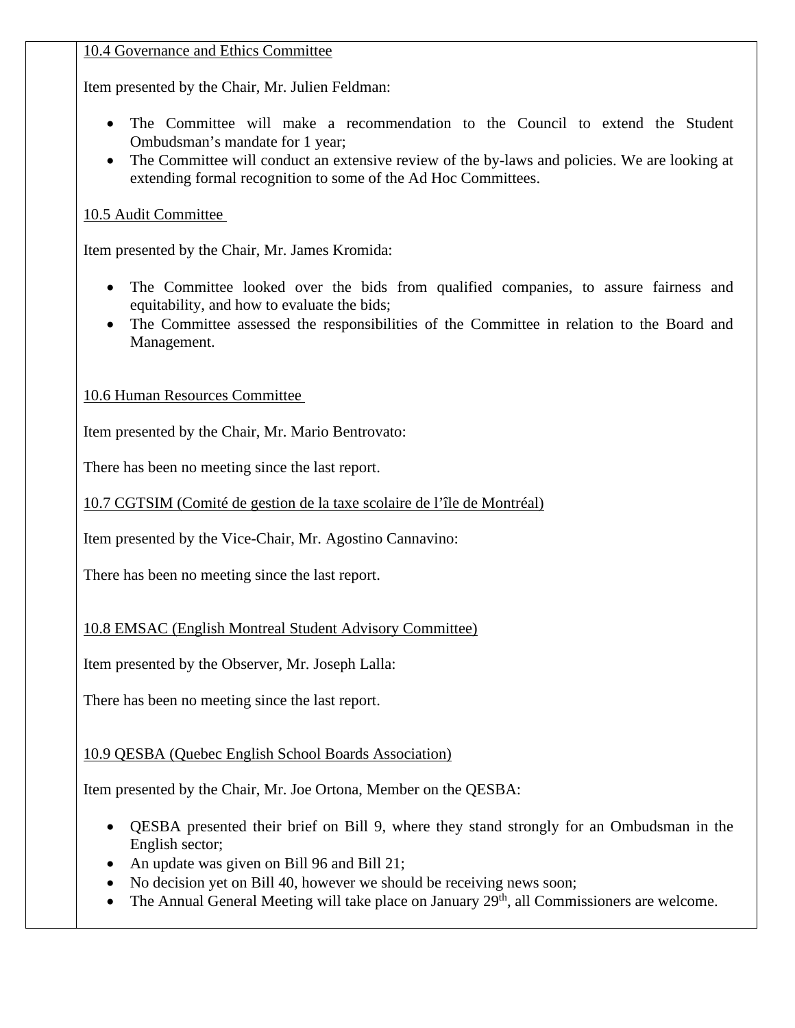### 10.4 Governance and Ethics Committee

Item presented by the Chair, Mr. Julien Feldman:

- The Committee will make a recommendation to the Council to extend the Student Ombudsman's mandate for 1 year;
- The Committee will conduct an extensive review of the by-laws and policies. We are looking at extending formal recognition to some of the Ad Hoc Committees.

# 10.5 Audit Committee

Item presented by the Chair, Mr. James Kromida:

- The Committee looked over the bids from qualified companies, to assure fairness and equitability, and how to evaluate the bids;
- The Committee assessed the responsibilities of the Committee in relation to the Board and Management.

10.6 Human Resources Committee

Item presented by the Chair, Mr. Mario Bentrovato:

There has been no meeting since the last report.

10.7 CGTSIM (Comité de gestion de la taxe scolaire de l'île de Montréal)

Item presented by the Vice-Chair, Mr. Agostino Cannavino:

There has been no meeting since the last report.

10.8 EMSAC (English Montreal Student Advisory Committee)

Item presented by the Observer, Mr. Joseph Lalla:

There has been no meeting since the last report.

### 10.9 QESBA (Quebec English School Boards Association)

Item presented by the Chair, Mr. Joe Ortona, Member on the QESBA:

- QESBA presented their brief on Bill 9, where they stand strongly for an Ombudsman in the English sector;
- An update was given on Bill 96 and Bill 21;
- No decision yet on Bill 40, however we should be receiving news soon;
- The Annual General Meeting will take place on January  $29<sup>th</sup>$ , all Commissioners are welcome.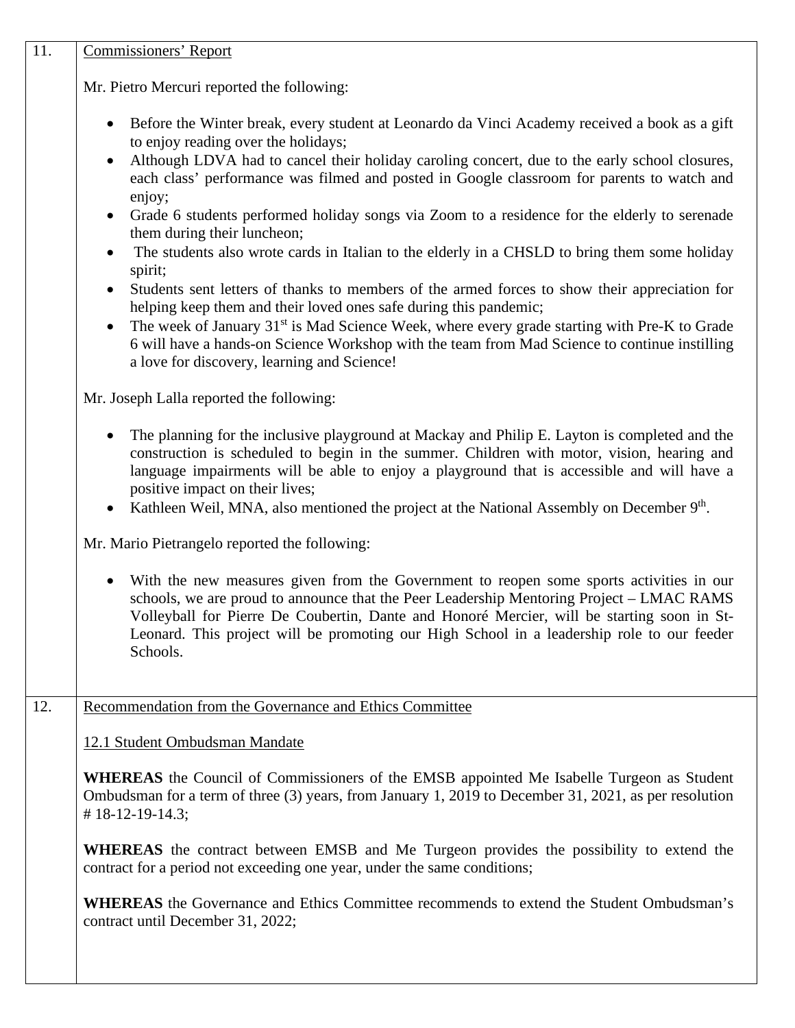| 11.                                           | <b>Commissioners' Report</b>                                                                                                                                                                                                                                                                                                                                                                                                                                                                                                                                                                                                                                                                                                                                                                                                                                                                                                                                                                                                                                      |  |  |
|-----------------------------------------------|-------------------------------------------------------------------------------------------------------------------------------------------------------------------------------------------------------------------------------------------------------------------------------------------------------------------------------------------------------------------------------------------------------------------------------------------------------------------------------------------------------------------------------------------------------------------------------------------------------------------------------------------------------------------------------------------------------------------------------------------------------------------------------------------------------------------------------------------------------------------------------------------------------------------------------------------------------------------------------------------------------------------------------------------------------------------|--|--|
|                                               | Mr. Pietro Mercuri reported the following:                                                                                                                                                                                                                                                                                                                                                                                                                                                                                                                                                                                                                                                                                                                                                                                                                                                                                                                                                                                                                        |  |  |
|                                               | Before the Winter break, every student at Leonardo da Vinci Academy received a book as a gift<br>to enjoy reading over the holidays;<br>Although LDVA had to cancel their holiday caroling concert, due to the early school closures,<br>$\bullet$<br>each class' performance was filmed and posted in Google classroom for parents to watch and<br>enjoy;<br>Grade 6 students performed holiday songs via Zoom to a residence for the elderly to serenade<br>$\bullet$<br>them during their luncheon;<br>The students also wrote cards in Italian to the elderly in a CHSLD to bring them some holiday<br>spirit;<br>Students sent letters of thanks to members of the armed forces to show their appreciation for<br>helping keep them and their loved ones safe during this pandemic;<br>The week of January 31 <sup>st</sup> is Mad Science Week, where every grade starting with Pre-K to Grade<br>$\bullet$<br>6 will have a hands-on Science Workshop with the team from Mad Science to continue instilling<br>a love for discovery, learning and Science! |  |  |
| Mr. Joseph Lalla reported the following:      |                                                                                                                                                                                                                                                                                                                                                                                                                                                                                                                                                                                                                                                                                                                                                                                                                                                                                                                                                                                                                                                                   |  |  |
|                                               | The planning for the inclusive playground at Mackay and Philip E. Layton is completed and the<br>construction is scheduled to begin in the summer. Children with motor, vision, hearing and<br>language impairments will be able to enjoy a playground that is accessible and will have a<br>positive impact on their lives;<br>Kathleen Weil, MNA, also mentioned the project at the National Assembly on December 9th.                                                                                                                                                                                                                                                                                                                                                                                                                                                                                                                                                                                                                                          |  |  |
| Mr. Mario Pietrangelo reported the following: |                                                                                                                                                                                                                                                                                                                                                                                                                                                                                                                                                                                                                                                                                                                                                                                                                                                                                                                                                                                                                                                                   |  |  |
|                                               | With the new measures given from the Government to reopen some sports activities in our<br>$\bullet$<br>schools, we are proud to announce that the Peer Leadership Mentoring Project – LMAC RAMS<br>Volleyball for Pierre De Coubertin, Dante and Honoré Mercier, will be starting soon in St-<br>Leonard. This project will be promoting our High School in a leadership role to our feeder<br>Schools.                                                                                                                                                                                                                                                                                                                                                                                                                                                                                                                                                                                                                                                          |  |  |
| 12.                                           | Recommendation from the Governance and Ethics Committee                                                                                                                                                                                                                                                                                                                                                                                                                                                                                                                                                                                                                                                                                                                                                                                                                                                                                                                                                                                                           |  |  |
|                                               | 12.1 Student Ombudsman Mandate                                                                                                                                                                                                                                                                                                                                                                                                                                                                                                                                                                                                                                                                                                                                                                                                                                                                                                                                                                                                                                    |  |  |
|                                               | <b>WHEREAS</b> the Council of Commissioners of the EMSB appointed Me Isabelle Turgeon as Student<br>Ombudsman for a term of three (3) years, from January 1, 2019 to December 31, 2021, as per resolution<br>$\#$ 18-12-19-14.3;                                                                                                                                                                                                                                                                                                                                                                                                                                                                                                                                                                                                                                                                                                                                                                                                                                  |  |  |
|                                               | <b>WHEREAS</b> the contract between EMSB and Me Turgeon provides the possibility to extend the<br>contract for a period not exceeding one year, under the same conditions;                                                                                                                                                                                                                                                                                                                                                                                                                                                                                                                                                                                                                                                                                                                                                                                                                                                                                        |  |  |
|                                               | <b>WHEREAS</b> the Governance and Ethics Committee recommends to extend the Student Ombudsman's<br>contract until December 31, 2022;                                                                                                                                                                                                                                                                                                                                                                                                                                                                                                                                                                                                                                                                                                                                                                                                                                                                                                                              |  |  |
|                                               |                                                                                                                                                                                                                                                                                                                                                                                                                                                                                                                                                                                                                                                                                                                                                                                                                                                                                                                                                                                                                                                                   |  |  |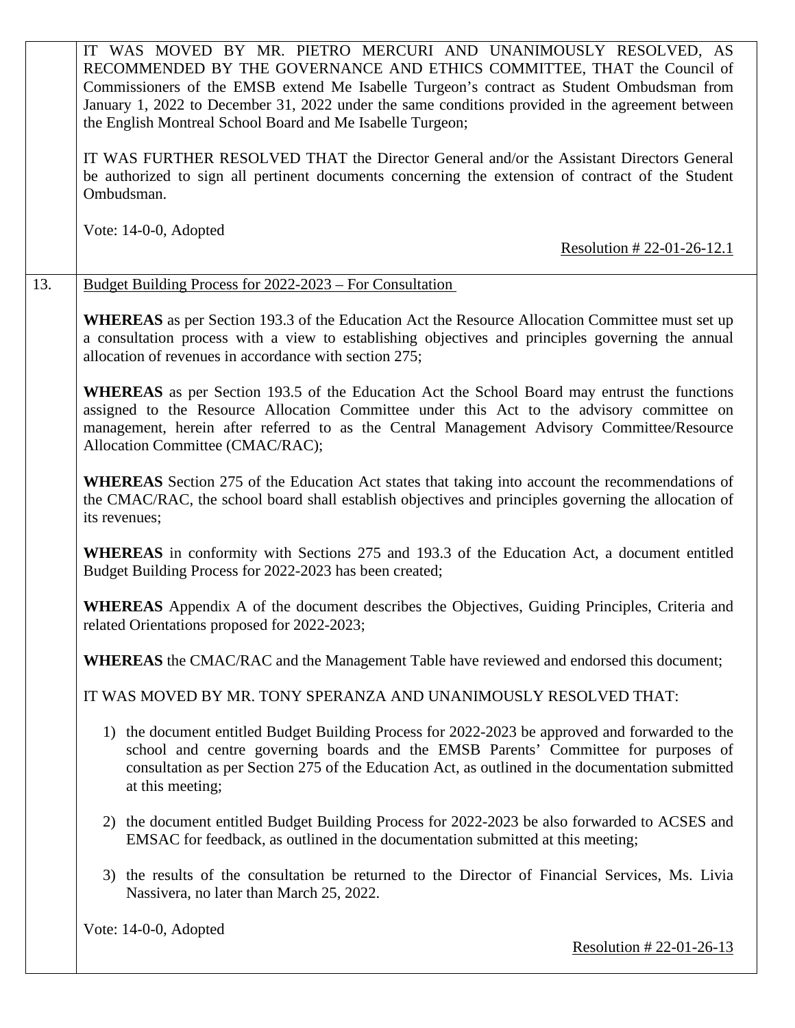|                                                                  | IT WAS MOVED BY MR. PIETRO MERCURI AND UNANIMOUSLY RESOLVED, AS<br>RECOMMENDED BY THE GOVERNANCE AND ETHICS COMMITTEE, THAT the Council of<br>Commissioners of the EMSB extend Me Isabelle Turgeon's contract as Student Ombudsman from<br>January 1, 2022 to December 31, 2022 under the same conditions provided in the agreement between<br>the English Montreal School Board and Me Isabelle Turgeon; |
|------------------------------------------------------------------|-----------------------------------------------------------------------------------------------------------------------------------------------------------------------------------------------------------------------------------------------------------------------------------------------------------------------------------------------------------------------------------------------------------|
|                                                                  | IT WAS FURTHER RESOLVED THAT the Director General and/or the Assistant Directors General<br>be authorized to sign all pertinent documents concerning the extension of contract of the Student<br>Ombudsman.                                                                                                                                                                                               |
|                                                                  | Vote: 14-0-0, Adopted<br>Resolution # 22-01-26-12.1                                                                                                                                                                                                                                                                                                                                                       |
| 13.                                                              | <b>Budget Building Process for 2022-2023 – For Consultation</b>                                                                                                                                                                                                                                                                                                                                           |
|                                                                  | <b>WHEREAS</b> as per Section 193.3 of the Education Act the Resource Allocation Committee must set up<br>a consultation process with a view to establishing objectives and principles governing the annual<br>allocation of revenues in accordance with section 275;                                                                                                                                     |
|                                                                  | <b>WHEREAS</b> as per Section 193.5 of the Education Act the School Board may entrust the functions<br>assigned to the Resource Allocation Committee under this Act to the advisory committee on<br>management, herein after referred to as the Central Management Advisory Committee/Resource<br>Allocation Committee (CMAC/RAC);                                                                        |
|                                                                  | <b>WHEREAS</b> Section 275 of the Education Act states that taking into account the recommendations of<br>the CMAC/RAC, the school board shall establish objectives and principles governing the allocation of<br>its revenues;                                                                                                                                                                           |
|                                                                  | WHEREAS in conformity with Sections 275 and 193.3 of the Education Act, a document entitled<br>Budget Building Process for 2022-2023 has been created;                                                                                                                                                                                                                                                    |
|                                                                  | <b>WHEREAS</b> Appendix A of the document describes the Objectives, Guiding Principles, Criteria and<br>related Orientations proposed for 2022-2023;                                                                                                                                                                                                                                                      |
|                                                                  | <b>WHEREAS</b> the CMAC/RAC and the Management Table have reviewed and endorsed this document;                                                                                                                                                                                                                                                                                                            |
| IT WAS MOVED BY MR. TONY SPERANZA AND UNANIMOUSLY RESOLVED THAT: |                                                                                                                                                                                                                                                                                                                                                                                                           |
|                                                                  | 1) the document entitled Budget Building Process for 2022-2023 be approved and forwarded to the<br>school and centre governing boards and the EMSB Parents' Committee for purposes of<br>consultation as per Section 275 of the Education Act, as outlined in the documentation submitted<br>at this meeting;                                                                                             |
|                                                                  | 2) the document entitled Budget Building Process for 2022-2023 be also forwarded to ACSES and<br>EMSAC for feedback, as outlined in the documentation submitted at this meeting;                                                                                                                                                                                                                          |
|                                                                  | 3) the results of the consultation be returned to the Director of Financial Services, Ms. Livia<br>Nassivera, no later than March 25, 2022.                                                                                                                                                                                                                                                               |
|                                                                  | Vote: 14-0-0, Adopted<br><u>Resolution #22-01-26-13</u>                                                                                                                                                                                                                                                                                                                                                   |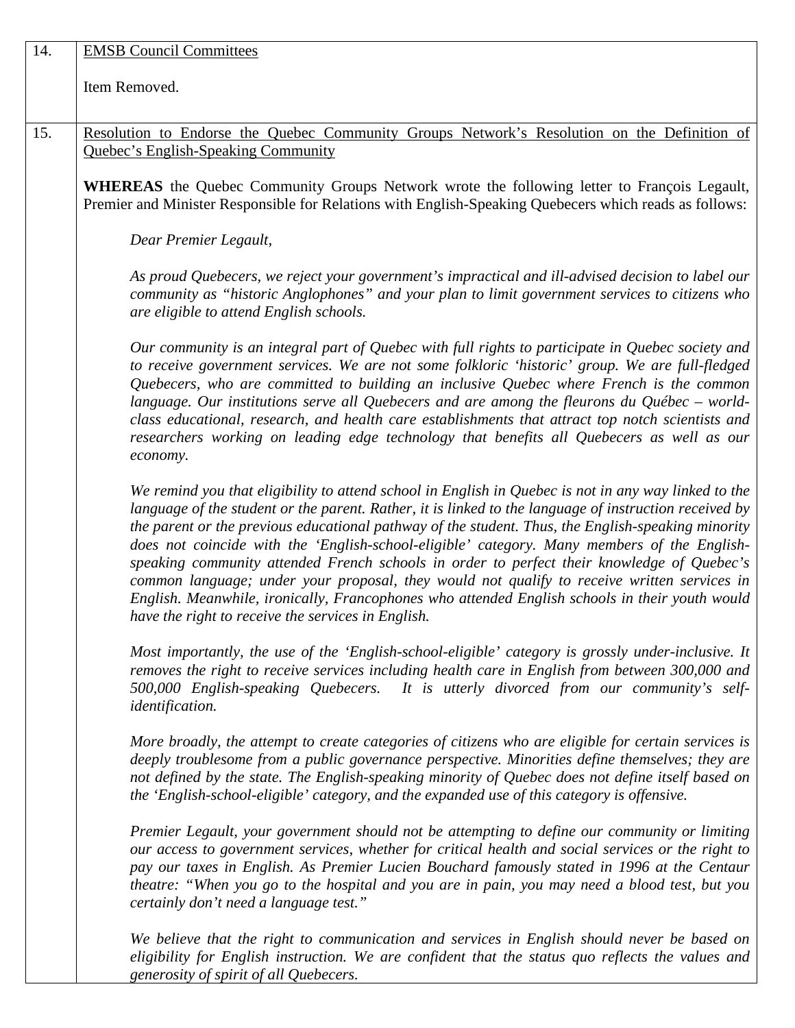| 14.                                                                                                                                                                                                                                                                                                                                                                                                                                                                                                                                                                                                           | <b>EMSB Council Committees</b>                                                                                                                                                                                                                                                                                                                                                                                                                                                                                                                                                                                                                                                                                                                                           |  |  |  |
|---------------------------------------------------------------------------------------------------------------------------------------------------------------------------------------------------------------------------------------------------------------------------------------------------------------------------------------------------------------------------------------------------------------------------------------------------------------------------------------------------------------------------------------------------------------------------------------------------------------|--------------------------------------------------------------------------------------------------------------------------------------------------------------------------------------------------------------------------------------------------------------------------------------------------------------------------------------------------------------------------------------------------------------------------------------------------------------------------------------------------------------------------------------------------------------------------------------------------------------------------------------------------------------------------------------------------------------------------------------------------------------------------|--|--|--|
|                                                                                                                                                                                                                                                                                                                                                                                                                                                                                                                                                                                                               | Item Removed.                                                                                                                                                                                                                                                                                                                                                                                                                                                                                                                                                                                                                                                                                                                                                            |  |  |  |
| 15.                                                                                                                                                                                                                                                                                                                                                                                                                                                                                                                                                                                                           | Resolution to Endorse the Quebec Community Groups Network's Resolution on the Definition of                                                                                                                                                                                                                                                                                                                                                                                                                                                                                                                                                                                                                                                                              |  |  |  |
| <b>Quebec's English-Speaking Community</b>                                                                                                                                                                                                                                                                                                                                                                                                                                                                                                                                                                    |                                                                                                                                                                                                                                                                                                                                                                                                                                                                                                                                                                                                                                                                                                                                                                          |  |  |  |
|                                                                                                                                                                                                                                                                                                                                                                                                                                                                                                                                                                                                               |                                                                                                                                                                                                                                                                                                                                                                                                                                                                                                                                                                                                                                                                                                                                                                          |  |  |  |
|                                                                                                                                                                                                                                                                                                                                                                                                                                                                                                                                                                                                               | WHEREAS the Quebec Community Groups Network wrote the following letter to François Legault,<br>Premier and Minister Responsible for Relations with English-Speaking Quebecers which reads as follows:                                                                                                                                                                                                                                                                                                                                                                                                                                                                                                                                                                    |  |  |  |
|                                                                                                                                                                                                                                                                                                                                                                                                                                                                                                                                                                                                               | Dear Premier Legault,                                                                                                                                                                                                                                                                                                                                                                                                                                                                                                                                                                                                                                                                                                                                                    |  |  |  |
|                                                                                                                                                                                                                                                                                                                                                                                                                                                                                                                                                                                                               | As proud Quebecers, we reject your government's impractical and ill-advised decision to label our<br>community as "historic Anglophones" and your plan to limit government services to citizens who<br>are eligible to attend English schools.                                                                                                                                                                                                                                                                                                                                                                                                                                                                                                                           |  |  |  |
| Our community is an integral part of Quebec with full rights to participate in Quebec society and<br>to receive government services. We are not some folkloric 'historic' group. We are full-fledged<br>Quebecers, who are committed to building an inclusive Quebec where French is the common<br>language. Our institutions serve all Quebecers and are among the fleurons du Québec – world-<br>class educational, research, and health care establishments that attract top notch scientists and<br>researchers working on leading edge technology that benefits all Quebecers as well as our<br>economy. |                                                                                                                                                                                                                                                                                                                                                                                                                                                                                                                                                                                                                                                                                                                                                                          |  |  |  |
|                                                                                                                                                                                                                                                                                                                                                                                                                                                                                                                                                                                                               | We remind you that eligibility to attend school in English in Quebec is not in any way linked to the<br>language of the student or the parent. Rather, it is linked to the language of instruction received by<br>the parent or the previous educational pathway of the student. Thus, the English-speaking minority<br>does not coincide with the 'English-school-eligible' category. Many members of the English-<br>speaking community attended French schools in order to perfect their knowledge of Quebec's<br>common language; under your proposal, they would not qualify to receive written services in<br>English. Meanwhile, ironically, Francophones who attended English schools in their youth would<br>have the right to receive the services in English. |  |  |  |
|                                                                                                                                                                                                                                                                                                                                                                                                                                                                                                                                                                                                               | Most importantly, the use of the 'English-school-eligible' category is grossly under-inclusive. It<br>removes the right to receive services including health care in English from between 300,000 and<br>500,000 English-speaking Quebecers. It is utterly divorced from our community's self-<br><i>identification.</i>                                                                                                                                                                                                                                                                                                                                                                                                                                                 |  |  |  |
|                                                                                                                                                                                                                                                                                                                                                                                                                                                                                                                                                                                                               | More broadly, the attempt to create categories of citizens who are eligible for certain services is<br>deeply troublesome from a public governance perspective. Minorities define themselves; they are<br>not defined by the state. The English-speaking minority of Quebec does not define itself based on<br>the 'English-school-eligible' category, and the expanded use of this category is offensive.                                                                                                                                                                                                                                                                                                                                                               |  |  |  |
|                                                                                                                                                                                                                                                                                                                                                                                                                                                                                                                                                                                                               | Premier Legault, your government should not be attempting to define our community or limiting<br>our access to government services, whether for critical health and social services or the right to<br>pay our taxes in English. As Premier Lucien Bouchard famously stated in 1996 at the Centaur<br>theatre: "When you go to the hospital and you are in pain, you may need a blood test, but you<br>certainly don't need a language test."                                                                                                                                                                                                                                                                                                                            |  |  |  |
|                                                                                                                                                                                                                                                                                                                                                                                                                                                                                                                                                                                                               | We believe that the right to communication and services in English should never be based on<br>eligibility for English instruction. We are confident that the status quo reflects the values and                                                                                                                                                                                                                                                                                                                                                                                                                                                                                                                                                                         |  |  |  |

*generosity of spirit of all Quebecers.*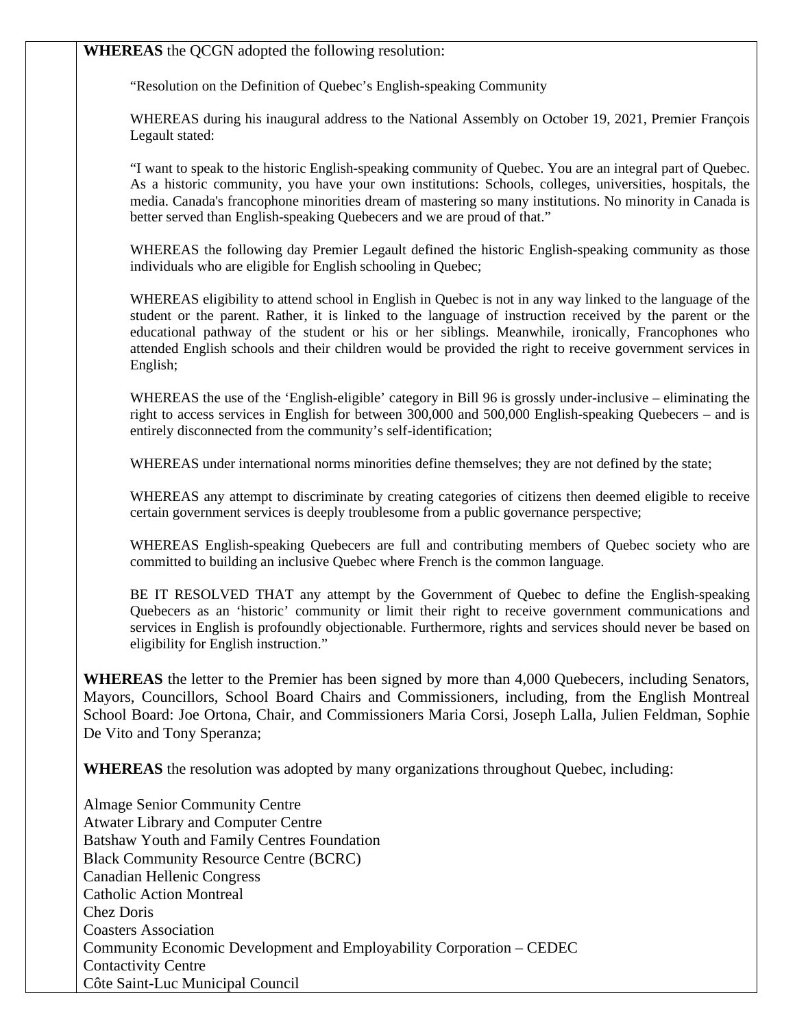**WHEREAS** the QCGN adopted the following resolution:

"Resolution on the Definition of Quebec's English-speaking Community

WHEREAS during his inaugural address to the National Assembly on October 19, 2021, Premier François Legault stated:

"I want to speak to the historic English-speaking community of Quebec. You are an integral part of Quebec. As a historic community, you have your own institutions: Schools, colleges, universities, hospitals, the media. Canada's francophone minorities dream of mastering so many institutions. No minority in Canada is better served than English-speaking Quebecers and we are proud of that."

WHEREAS the following day Premier Legault defined the historic English-speaking community as those individuals who are eligible for English schooling in Quebec;

WHEREAS eligibility to attend school in English in Quebec is not in any way linked to the language of the student or the parent. Rather, it is linked to the language of instruction received by the parent or the educational pathway of the student or his or her siblings. Meanwhile, ironically, Francophones who attended English schools and their children would be provided the right to receive government services in English;

WHEREAS the use of the 'English-eligible' category in Bill 96 is grossly under-inclusive – eliminating the right to access services in English for between 300,000 and 500,000 English-speaking Quebecers – and is entirely disconnected from the community's self-identification;

WHEREAS under international norms minorities define themselves; they are not defined by the state;

WHEREAS any attempt to discriminate by creating categories of citizens then deemed eligible to receive certain government services is deeply troublesome from a public governance perspective;

WHEREAS English-speaking Quebecers are full and contributing members of Quebec society who are committed to building an inclusive Quebec where French is the common language.

BE IT RESOLVED THAT any attempt by the Government of Quebec to define the English-speaking Quebecers as an 'historic' community or limit their right to receive government communications and services in English is profoundly objectionable. Furthermore, rights and services should never be based on eligibility for English instruction."

**WHEREAS** the letter to the Premier has been signed by more than 4,000 Quebecers, including Senators, Mayors, Councillors, School Board Chairs and Commissioners, including, from the English Montreal School Board: Joe Ortona, Chair, and Commissioners Maria Corsi, Joseph Lalla, Julien Feldman, Sophie De Vito and Tony Speranza;

**WHEREAS** the resolution was adopted by many organizations throughout Quebec, including:

Almage Senior Community Centre Atwater Library and Computer Centre Batshaw Youth and Family Centres Foundation Black Community Resource Centre (BCRC) Canadian Hellenic Congress Catholic Action Montreal Chez Doris Coasters Association Community Economic Development and Employability Corporation – CEDEC Contactivity Centre Côte Saint-Luc Municipal Council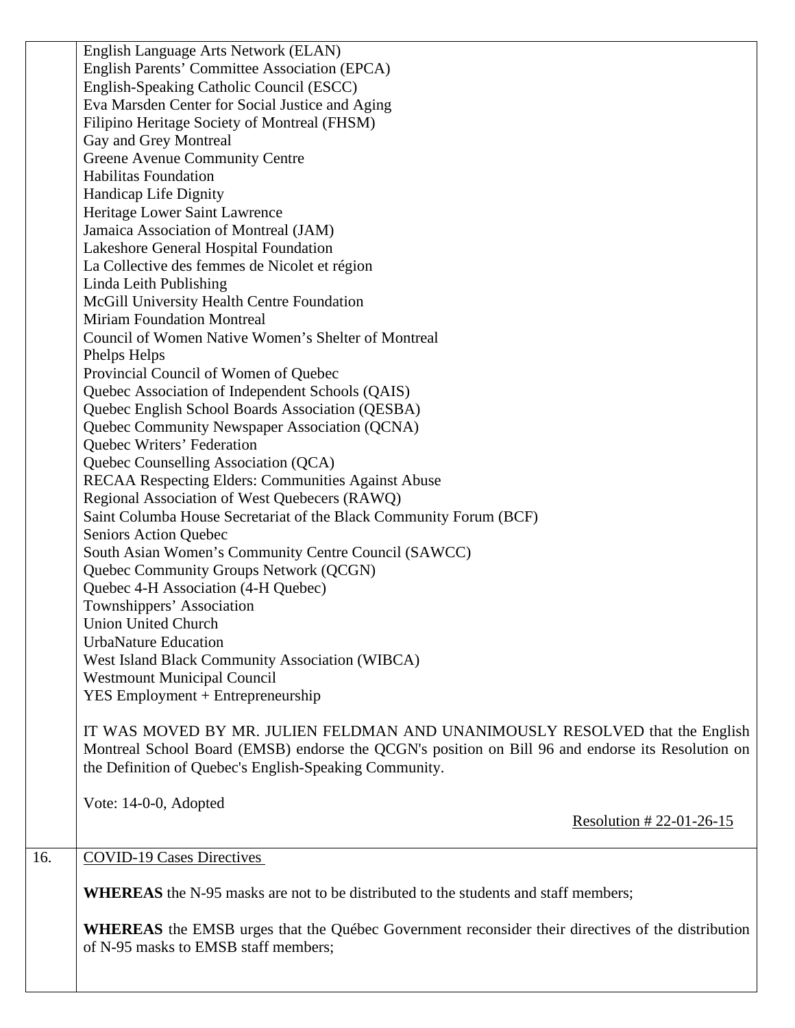English Language Arts Network (ELAN) English Parents' Committee Association (EPCA) English-Speaking Catholic Council (ESCC) Eva Marsden Center for Social Justice and Aging Filipino Heritage Society of Montreal (FHSM) Gay and Grey Montreal Greene Avenue Community Centre Habilitas Foundation Handicap Life Dignity Heritage Lower Saint Lawrence Jamaica Association of Montreal (JAM) Lakeshore General Hospital Foundation La Collective des femmes de Nicolet et région Linda Leith Publishing McGill University Health Centre Foundation Miriam Foundation Montreal Council of Women Native Women's Shelter of Montreal Phelps Helps Provincial Council of Women of Quebec Quebec Association of Independent Schools (QAIS) Quebec English School Boards Association (QESBA) Quebec Community Newspaper Association (QCNA) Quebec Writers' Federation Quebec Counselling Association (QCA) RECAA Respecting Elders: Communities Against Abuse Regional Association of West Quebecers (RAWQ) Saint Columba House Secretariat of the Black Community Forum (BCF) Seniors Action Quebec South Asian Women's Community Centre Council (SAWCC) Quebec Community Groups Network (QCGN) Quebec 4-H Association (4-H Quebec) Townshippers' Association Union United Church UrbaNature Education West Island Black Community Association (WIBCA) Westmount Municipal Council YES Employment + Entrepreneurship IT WAS MOVED BY MR. JULIEN FELDMAN AND UNANIMOUSLY RESOLVED that the English Montreal School Board (EMSB) endorse the QCGN's position on Bill 96 and endorse its Resolution on the Definition of Quebec's English-Speaking Community. Vote: 14-0-0, Adopted Resolution # 22-01-26-15 16. COVID-19 Cases Directives **WHEREAS** the N-95 masks are not to be distributed to the students and staff members; **WHEREAS** the EMSB urges that the Québec Government reconsider their directives of the distribution of N-95 masks to EMSB staff members;